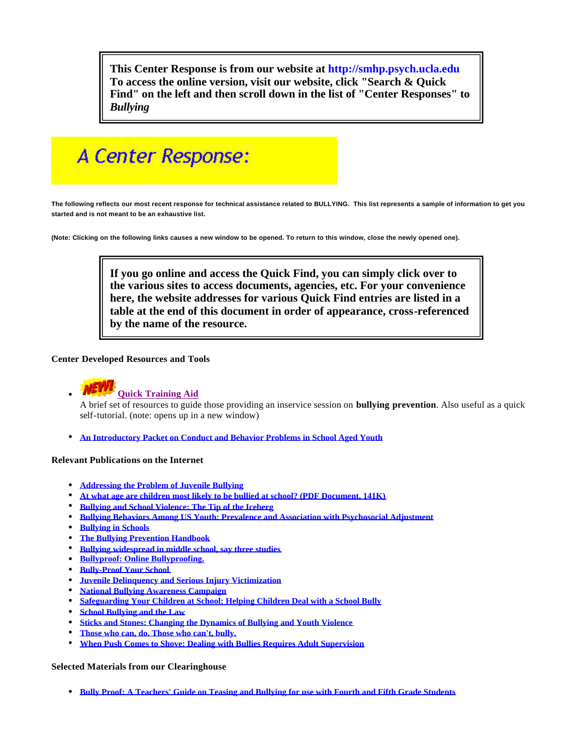**This Center Response is from our website at <http://smhp.psych.ucla.edu> To access the online version, visit our website, click "Search & Quick Find" on the left and then scroll down in the list of "Center Responses" to**  *Bullying*

# A Center Response:

**The following reflects our most recent response for technical assistance related to BULLYING. This list represents a sample of information to get you started and is not meant to be an exhaustive list.**

**(Note: Clicking on the following links causes a new window to be opened. To return to this window, close the newly opened one).**

**If you go online and access the Quick Find, you can simply click over to the various sites to access documents, agencies, etc. For your convenience here, the website addresses for various Quick Find entries are listed in a table at the end of this document in order of appearance, cross-referenced by the name of the resource.**

## **Center Developed Resources and Tools**



# **Quick Training Aid**

A brief set of resources to guide those providing an inservice session on **bullying prevention**. Also useful as a quick self-tutorial. (note: opens up in a new window)

<sup>l</sup> **An Introductory Packet on Conduct and Behavior Problems in School Aged Youth**

#### **Relevant Publications on the Internet**

- **Addressing the Problem of Juvenile Bullying**
- At what age are children most likely to be bullied at school? (PDF Document, 141K)
- **Bullying and School Violence: The Tip of the Iceberg**
- <sup>l</sup> **Bullying Behaviors Among US Youth: Prevalence and Association with Psychosocial Adjustment**
- **Bullying in Schools**
- **The Bullying Prevention Handbook**
- **Bullying widespread in middle school, say three studies**
- **Bullyproof: Online Bullyproofing.**
- **Bully-Proof Your School**
- **Juvenile Delinquency and Serious Injury Victimization**
- <sup>l</sup> **National Bullying Awareness Campaign**
- **Safeguarding Your Children at School: Helping Children Deal with a School Bully**
- **School Bullying and the Law**
- **<u>Sticks and Stones: Changing the Dynamics of Bullying and Youth Violence</u>**
- <sup>l</sup> **Those who can, do. Those who can't, bully.**
- <sup>l</sup> **When Push Comes to Shove: Dealing with Bullies Requires Adult Supervision**

#### **Selected Materials from our Clearinghouse**

**• Bully Proof: A Teachers' Guide on Teasing and Bullying for use with Fourth and Fifth Grade Students**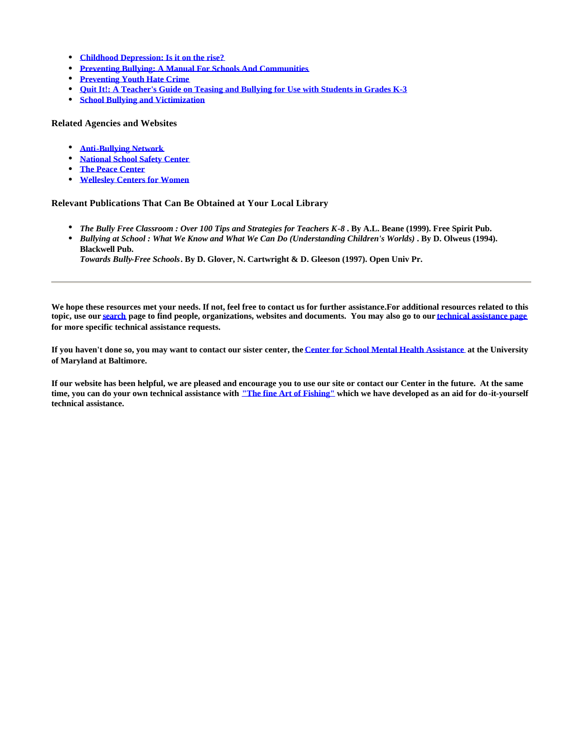- <sup>l</sup> **Childhood Depression: Is it on the rise?**
- <sup>l</sup> **Preventing Bullying: A Manual For Schools And Communities**
- **Preventing Youth Hate Crime**
- **c** Ouit It!: A Teacher's Guide on Teasing and Bullying for Use with Students in Grades K-3
- <sup>l</sup> **School Bullying and Victimization**

#### **Related Agencies and Websites**

- <sup>l</sup> **Anti-Bullying Network**
- **National School Safety Center**
- **The Peace Center**
- **Wellesley Centers for Women**

### **Relevant Publications That Can Be Obtained at Your Local Library**

- <sup>l</sup> *The Bully Free Classroom : Over 100 Tips and Strategies for Teachers K-8* **. By A.L. Beane (1999). Free Spirit Pub.**
- <sup>l</sup> *Bullying at School : What We Know and What We Can Do (Understanding Children's Worlds)* **. By D. Olweus (1994). Blackwell Pub.**

*Towards Bully-Free Schools***. By D. Glover, N. Cartwright & D. Gleeson (1997). Open Univ Pr.**

**We hope these resources met your needs. If not, feel free to contact us for further assistance.For additional resources related to this topic, use our search page to find people, organizations, websites and documents. You may also go to our technical assistance page for more specific technical assistance requests.**

**If you haven't done so, you may want to contact our sister center, the Center for School Mental Health Assistance at the University of Maryland at Baltimore.**

**If our website has been helpful, we are pleased and encourage you to use our site or contact our Center in the future. At the same time, you can do your own technical assistance with "The fine Art of Fishing" which we have developed as an aid for do-it-yourself technical assistance.**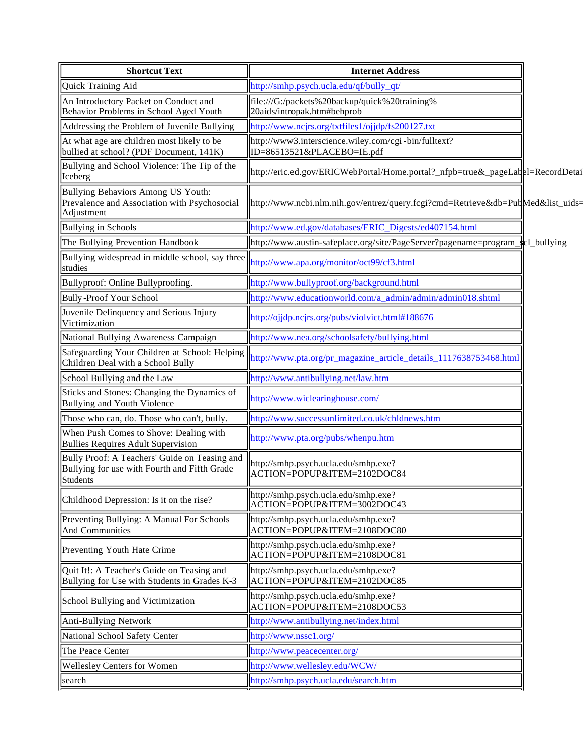| <b>Shortcut Text</b>                                                                                      | <b>Internet Address</b>                                                            |  |
|-----------------------------------------------------------------------------------------------------------|------------------------------------------------------------------------------------|--|
| Quick Training Aid                                                                                        | http://smhp.psych.ucla.edu/qf/bully_qt/                                            |  |
| An Introductory Packet on Conduct and<br>Behavior Problems in School Aged Youth                           | file:///G:/packets%20backup/quick%20training%<br>20aids/intropak.htm#behprob       |  |
| Addressing the Problem of Juvenile Bullying                                                               | http://www.ncjrs.org/txtfiles1/ojjdp/fs200127.txt                                  |  |
| At what age are children most likely to be<br>bullied at school? (PDF Document, 141K)                     | http://www3.interscience.wiley.com/cgi-bin/fulltext?<br>ID=86513521&PLACEBO=IE.pdf |  |
| Bullying and School Violence: The Tip of the<br>Iceberg                                                   | http://eric.ed.gov/ERICWebPortal/Home.portal?_nfpb=true&_pageLabel=RecordDetai     |  |
| Bullying Behaviors Among US Youth:<br>Prevalence and Association with Psychosocial<br>Adjustment          | http://www.ncbi.nlm.nih.gov/entrez/query.fcgi?cmd=Retrieve&db=PubMed&list_uids=    |  |
| <b>Bullying in Schools</b>                                                                                | http://www.ed.gov/databases/ERIC_Digests/ed407154.html                             |  |
| The Bullying Prevention Handbook                                                                          | http://www.austin-safeplace.org/site/PageServer?pagename=program_kcl_bullying      |  |
| Bullying widespread in middle school, say three<br>studies                                                | http://www.apa.org/monitor/oct99/cf3.html                                          |  |
| Bullyproof: Online Bullyproofing.                                                                         | http://www.bullyproof.org/background.html                                          |  |
| <b>Bully-Proof Your School</b>                                                                            | http://www.educationworld.com/a_admin/admin/admin018.shtml                         |  |
| Juvenile Delinquency and Serious Injury<br>Victimization                                                  | http://ojjdp.ncjrs.org/pubs/violvict.html#188676                                   |  |
| National Bullying Awareness Campaign                                                                      | http://www.nea.org/schoolsafety/bullying.html                                      |  |
| Safeguarding Your Children at School: Helping<br>Children Deal with a School Bully                        | http://www.pta.org/pr_magazine_article_details_1117638753468.html                  |  |
| School Bullying and the Law                                                                               | http://www.antibullying.net/law.htm                                                |  |
| Sticks and Stones: Changing the Dynamics of<br>Bullying and Youth Violence                                | http://www.wiclearinghouse.com/                                                    |  |
| Those who can, do. Those who can't, bully.                                                                | http://www.successunlimited.co.uk/chldnews.htm                                     |  |
| When Push Comes to Shove: Dealing with<br>Bullies Requires Adult Supervision                              | http://www.pta.org/pubs/whenpu.htm                                                 |  |
| Bully Proof: A Teachers' Guide on Teasing and<br>Bullying for use with Fourth and Fifth Grade<br>Students | http://smhp.psych.ucla.edu/smhp.exe?<br>ACTION=POPUP&ITEM=2102DOC84                |  |
| Childhood Depression: Is it on the rise?                                                                  | http://smhp.psych.ucla.edu/smhp.exe?<br>ACTION=POPUP&ITEM=3002DOC43                |  |
| Preventing Bullying: A Manual For Schools<br>And Communities                                              | http://smhp.psych.ucla.edu/smhp.exe?<br>ACTION=POPUP&ITEM=2108DOC80                |  |
| Preventing Youth Hate Crime                                                                               | http://smhp.psych.ucla.edu/smhp.exe?<br>ACTION=POPUP&ITEM=2108DOC81                |  |
| Quit It!: A Teacher's Guide on Teasing and<br>Bullying for Use with Students in Grades K-3                | http://smhp.psych.ucla.edu/smhp.exe?<br>ACTION=POPUP&ITEM=2102DOC85                |  |
| School Bullying and Victimization                                                                         | http://smhp.psych.ucla.edu/smhp.exe?<br>ACTION=POPUP&ITEM=2108DOC53                |  |
| Anti-Bullying Network                                                                                     | http://www.antibullying.net/index.html                                             |  |
| National School Safety Center                                                                             | http://www.nssc1.org/                                                              |  |
| The Peace Center                                                                                          | http://www.peacecenter.org/                                                        |  |
| <b>Wellesley Centers for Women</b>                                                                        | http://www.wellesley.edu/WCW/                                                      |  |
| search                                                                                                    | http://smhp.psych.ucla.edu/search.htm                                              |  |